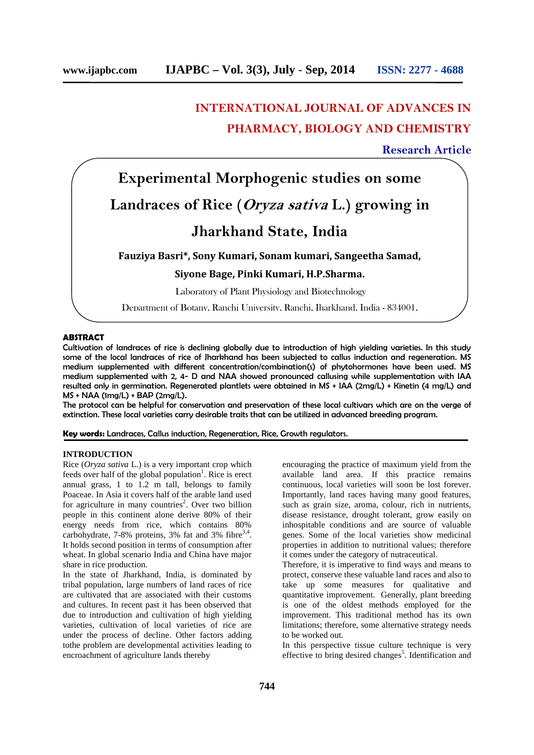# **INTERNATIONAL JOURNAL OF ADVANCES IN PHARMACY, BIOLOGY AND CHEMISTRY**

## **Research Article**

# **Experimental Morphogenic studies on some**

# **Landraces of Rice (***Oryza sativa* **L.) growing in**

# **Jharkhand State, India**

**Fauziya Basri\*, Sony Kumari, Sonam kumari, Sangeetha Samad,**

**Siyone Bage, Pinki Kumari, H.P.Sharma.**

Laboratory of Plant Physiology and Biotechnology

Department of Botany, Ranchi University, Ranchi, Jharkhand, India - 834001,

## **ABSTRACT**

Cultivation of landraces of rice is declining globally due to introduction of high yielding varieties. In this study some of the local landraces of rice of Jharkhand has been subjected to callus induction and regeneration. MS medium supplemented with different concentration/combination(s) of phytohormones have been used. MS medium supplemented with 2, 4- D and NAA showed pronounced callusing while supplementation with IAA resulted only in germination. Regenerated plantlets were obtained in MS + IAA (2mg/L) + Kinetin (4 mg/L) and MS + NAA (1mg/L) + BAP (2mg/L).

The protocol can be helpful for conservation and preservation of these local cultivars which are on the verge of extinction. These local varieties carry desirable traits that can be utilized in advanced breeding program.

**Key words:** Landraces, Callus induction, Regeneration, Rice, Growth regulators.

### **INTRODUCTION**

Rice (*Oryza sativa* L.) is a very important crop which feeds over half of the global population<sup>1</sup>. Rice is erect annual grass, 1 to 1.2 m tall, belongs to family Poaceae. In Asia it covers half of the arable land used for agriculture in many countries<sup>2</sup>. Over two billion people in this continent alone derive 80% of their energy needs from rice, which contains 80% carbohydrate,  $7-8\%$  proteins,  $3\%$  fat and  $3\%$  fibre<sup>3,4</sup>. It holds second position in terms of consumption after wheat. In global scenario India and China have major share in rice production.

In the state of Jharkhand, India, is dominated by tribal population, large numbers of land races of rice are cultivated that are associated with their customs and cultures. In recent past it has been observed that due to introduction and cultivation of high yielding varieties, cultivation of local varieties of rice are under the process of decline. Other factors adding tothe problem are developmental activities leading to encroachment of agriculture lands thereby

encouraging the practice of maximum yield from the available land area. If this practice remains continuous, local varieties will soon be lost forever. Importantly, land races having many good features, such as grain size, aroma, colour, rich in nutrients, disease resistance, drought tolerant, grow easily on inhospitable conditions and are source of valuable genes. Some of the local varieties show medicinal properties in addition to nutritional values; therefore it comes under the category of nutraceutical.

Therefore, it is imperative to find ways and means to protect, conserve these valuable land races and also to take up some measures for qualitative and quantitative improvement. Generally, plant breeding is one of the oldest methods employed for the improvement. This traditional method has its own limitations; therefore, some alternative strategy needs to be worked out.

In this perspective tissue culture technique is very effective to bring desired changes 5 . Identification and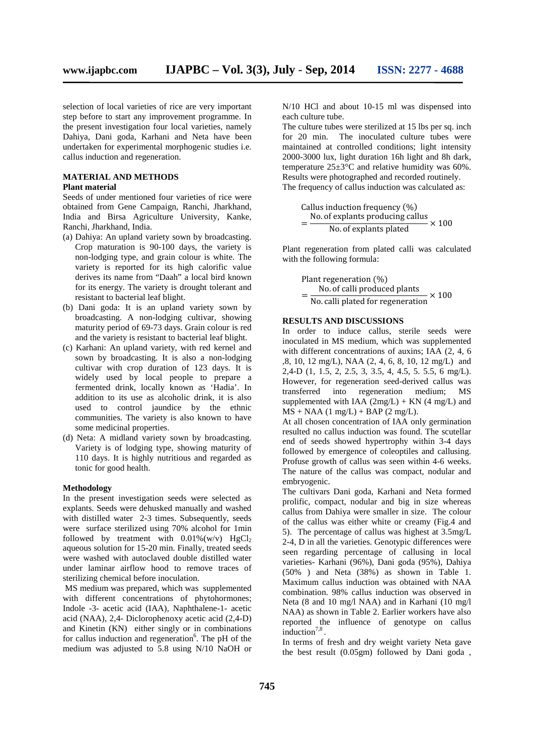selection of local varieties of rice are very important step before to start any improvement programme. In the present investigation four local varieties, namely Dahiya, Dani goda, Karhani and Neta have been undertaken for experimental morphogenic studies i.e. callus induction and regeneration.

#### **MATERIAL AND METHODS Plant material**

Seeds of under mentioned four varieties of rice were obtained from Gene Campaign, Ranchi, Jharkhand, India and Birsa Agriculture University, Kanke, Ranchi, Jharkhand, India.

- (a) Dahiya: An upland variety sown by broadcasting. Crop maturation is 90-100 days, the variety is non-lodging type, and grain colour is white. The variety is reported for its high calorific value derives its name from "Daah" a local bird known for its energy. The variety is drought tolerant and resistant to bacterial leaf blight.
- (b) Dani goda: It is an upland variety sown by broadcasting. A non-lodging cultivar, showing maturity period of 69-73 days. Grain colour is red and the variety is resistant to bacterial leaf blight.
- (c) Karhani: An upland variety, with red kernel and sown by broadcasting. It is also a non-lodging cultivar with crop duration of 123 days. It is widely used by local people to prepare a fermented drink, locally known as 'Hadia'. In addition to its use as alcoholic drink, it is also used to control jaundice by the ethnic communities. The variety is also known to have some medicinal properties.
- (d) Neta: A midland variety sown by broadcasting. Variety is of lodging type, showing maturity of 110 days. It is highly nutritious and regarded as tonic for good health.

#### **Methodology**

In the present investigation seeds were selected as explants. Seeds were dehusked manually and washed with distilled water 2-3 times. Subsequently, seeds were surface sterilized using 70% alcohol for 1min followed by treatment with  $0.01\%$  (w/v) HgCl<sub>2</sub> aqueous solution for 15-20 min. Finally, treated seeds were washed with autoclaved double distilled water under laminar airflow hood to remove traces of sterilizing chemical before inoculation.

MS medium was prepared, which was supplemented with different concentrations of phytohormones; Indole -3- acetic acid (IAA), Naphthalene-1- acetic acid (NAA), 2,4- Diclorophenoxy acetic acid (2,4-D) and Kinetin (KN) either singly or in combinations for callus induction and regeneration $6$ . The pH of the medium was adjusted to 5.8 using N/10 NaOH or

N/10 HCl and about 10-15 ml was dispensed into each culture tube.

The culture tubes were sterilized at 15 lbs per sq. inch The inoculated culture tubes were maintained at controlled conditions; light intensity 2000-3000 lux, light duration 16h light and 8h dark, temperature 25±3°C and relative humidity was 60%. Results were photographed and recorded routinely. The frequency of callus induction was calculated as:

Calling induction frequency (
$$
\%
$$
)  
=  $\frac{\text{No. of explants producing calls}}{\text{No. of explants plated}} \times 100$ 

Plant regeneration from plated calli was calculated with the following formula:

> Plant regeneration (%)<br>No. of calli produced plants  $=\frac{N_0.01 \text{ calli produced plants}}{N_0.01 \text{ child of for regeneration}} \times 10$  $\overline{N}$ o. calli plated for regeneration  $\times 100$

#### **RESULTS AND DISCUSSIONS**

In order to induce callus, sterile seeds were inoculated in MS medium, which was supplemented with different concentrations of auxins; IAA (2, 4, 6 ,8, 10, 12 mg/L), NAA (2, 4, 6,8, 10, 12 mg/L) and 2,4-D (1, 1.5, 2, 2.5, 3, 3.5, 4, 4.5, 5. 5.5, 6 mg/L). However, for regeneration seed-derived callus was into regeneration medium; MS supplemented with IAA  $(2mg/L) + KN$  (4 mg/L) and  $MS + NAA$  (1 mg/L) + BAP (2 mg/L).

At all chosen concentration of IAA only germination resulted no callus induction was found. The scutellar end of seeds showed hypertrophy within 3-4 days followed by emergence of coleoptiles and callusing. Profuse growth of callus was seen within 4-6 weeks. The nature of the callus was compact, nodular and embryogenic.

The cultivars Dani goda, Karhani and Neta formed prolific, compact, nodular and big in size whereas callus from Dahiya were smaller in size. The colour of the callus was either white or creamy (Fig.4 and 5). The percentage of callus was highest at 3.5mg/L 2-4, D in all the varieties. Genotypic differences were seen regarding percentage of callusing in local varieties- Karhani (96%), Dani goda (95%), Dahiya (50% ) and Neta (38%) as shown in Table 1. Maximum callus induction was obtained with NAA combination. 98% callus induction was observed in Neta (8 and 10 mg/l NAA) and in Karhani (10 mg/l NAA) as shown in Table 2. Earlier workers have also reported the influence of genotype on callus induction<sup>7,8</sup>.

In terms of fresh and dry weight variety Neta gave the best result (0.05gm) followed by Dani goda ,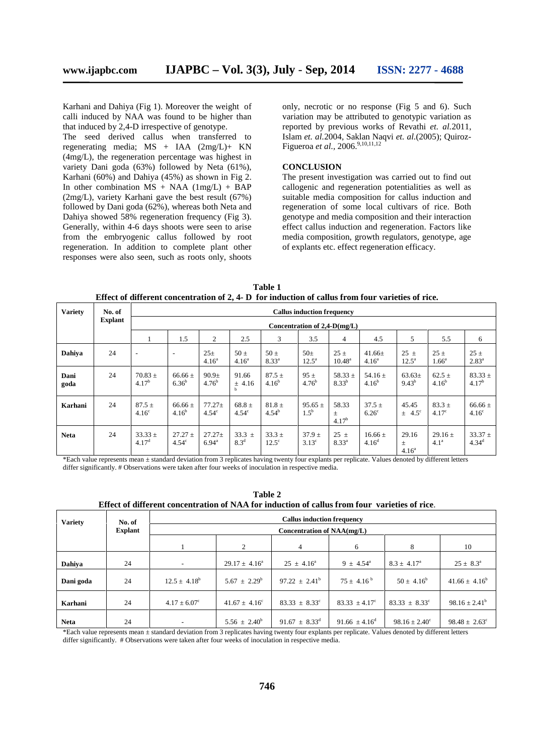Karhani and Dahiya (Fig 1). Moreover the weight of calli induced by NAA was found to be higher than that induced by 2,4-D irrespective of genotype.

The seed derived callus when transferred to regenerating media; MS + IAA (2mg/L)+ KN (4mg/L), the regeneration percentage was highest in variety Dani goda (63%) followed by Neta (61%), Karhani (60%) and Dahiya (45%) as shown in Fig 2. In other combination  $MS + NAA$  (1mg/L) + BAP (2mg/L), variety Karhani gave the best result (67%) followed by Dani goda (62%), whereas both Neta and Dahiya showed 58% regeneration frequency (Fig 3). Generally, within 4-6 days shoots were seen to arise from the embryogenic callus followed by root regeneration. In addition to complete plant other responses were also seen, such as roots only, shoots only, necrotic or no response (Fig 5 and 6). Such variation may be attributed to genotypic variation as reported by previous works of Revathi *et. al.*2011, Islam *et. al.*2004, Saklan Naqvi *et. al.*(2005); Quiroz- Figueroa *et al.*, 2006.<sup>9,10,11,12</sup>

### **CONCLUSION**

The present investigation was carried out to find out callogenic and regeneration potentialities as well as suitable media composition for callus induction and regeneration of some local cultivars of rice. Both genotype and media composition and their interaction effect callus induction and regeneration. Factors like media composition, growth regulators, genotype, age of explants etc. effect regeneration efficacy.

**Table 1 Effect of different concentration of 2, 4- D for induction of callus from four varieties of rice.**

| <b>Variety</b> | No. of<br><b>Explant</b> | <b>Callus induction frequency</b><br>Concentration of $2,4-D(mg/L)$ |                             |                                 |                                   |                            |                              |                              |                                  |                                 |                                 |                                  |
|----------------|--------------------------|---------------------------------------------------------------------|-----------------------------|---------------------------------|-----------------------------------|----------------------------|------------------------------|------------------------------|----------------------------------|---------------------------------|---------------------------------|----------------------------------|
|                |                          |                                                                     | 1.5                         | 2                               | 2.5                               | 3                          | 3.5                          | $\overline{4}$               | 4.5                              | 5                               | 5.5                             | 6                                |
| Dahiya         | 24                       | $\overline{\phantom{a}}$                                            | $\overline{\phantom{a}}$    | $25\pm$<br>$4.16^a$             | $50 \pm$<br>$4.16^a$              | $50 \pm$<br>$8.33^{a}$     | $50\pm$<br>$12.5^{\circ}$    | $25 \pm$<br>$10.48^{\circ}$  | $41.66 \pm$<br>4.16 <sup>a</sup> | $25 \pm$<br>$12.5^{\circ}$      | $25 \pm$<br>$1.66^{\circ}$      | $25 \pm$<br>$2.83^{\circ}$       |
| Dani<br>goda   | 24                       | $70.83 \pm$<br>$4.17^{b}$                                           | $66.66 \pm$<br>$6.36^{b}$   | 90.9 <sub>±</sub><br>$4.76^{b}$ | 91.66<br>$±$ 4.16<br>$\mathbf{h}$ | $87.5 \pm$<br>$4.16^{b}$   | 95±<br>$4.76^{b}$            | $58.33 \pm$<br>$8.33^{b}$    | 54.16 $\pm$<br>$4.16^{b}$        | $63.63\pm$<br>$9.43^{b}$        | $62.5 \pm$<br>$4.16^{b}$        | $83.33 \pm$<br>$4.17^{b}$        |
| Karhani        | 24                       | $87.5 \pm$<br>4.16 <sup>c</sup>                                     | $66.66 \pm$<br>$4.16^{b}$   | $77.27 \pm$<br>$4.54^\circ$     | $68.8 \pm$<br>$4.54^{\circ}$      | $81.8 \pm$<br>$4.54^{b}$   | $95.65 \pm$<br>$1.5^{\rm b}$ | 58.33<br>$\pm$<br>$4.17^{b}$ | $37.5 \pm$<br>$6.26^{\circ}$     | 45.45<br>$\pm$ 4.5°             | $83.3 \pm$<br>4.17 <sup>c</sup> | $66.66 \pm$<br>4.16 <sup>c</sup> |
| <b>Neta</b>    | 24                       | $33.33 \pm$<br>4.17 <sup>d</sup>                                    | $27.27 \pm$<br>$4.54^\circ$ | $27.27 \pm$<br>$6.94^{\circ}$   | $33.3 \pm$<br>8.3 <sup>d</sup>    | $33.3 \pm$<br>$12.5^\circ$ | $37.9 \pm$<br>$3.13^{\circ}$ | $25 \pm$<br>$8.33^{a}$       | $16.66 \pm$<br>4.16 <sup>d</sup> | 29.16<br>土<br>4.16 <sup>a</sup> | $29.16 +$<br>4.1 <sup>a</sup>   | $33.37 \pm$<br>$4.34^{d}$        |

\*Each value represents mean ± standard deviation from 3 replicates having twenty four explants per replicate. Values denoted by different letters differ significantly. # Observations were taken after four weeks of inoculation in respective media.

**Table 2 Effect of different concentration of NAA for induction of callus from four varieties of rice**.

| <b>Variety</b> | No. of         | <b>Callus induction frequency</b><br>Concentration of NAA(mg/L) |                          |                             |                          |                          |                          |  |  |  |  |  |
|----------------|----------------|-----------------------------------------------------------------|--------------------------|-----------------------------|--------------------------|--------------------------|--------------------------|--|--|--|--|--|
|                | <b>Explant</b> |                                                                 |                          |                             |                          |                          |                          |  |  |  |  |  |
|                |                |                                                                 | 2                        | 4                           | 6                        | 8                        | 10                       |  |  |  |  |  |
| Dahiya         | 24             | $\overline{\phantom{a}}$                                        | $29.17 \pm 4.16^a$       | $25 \pm 4.16^{\circ}$       | $9 \pm 4.54^{\circ}$     | $8.3 \pm 4.17^{\circ}$   | $25 \pm 8.3^{\circ}$     |  |  |  |  |  |
| Dani goda      | 24             | $12.5 \pm 4.18^b$                                               | $5.67 \pm 2.29^b$        | $97.22 \pm 2.41^{\circ}$    | $75 + 4.16^{\mathrm{b}}$ | $50 \pm 4.16^b$          | $41.66 \pm 4.16^b$       |  |  |  |  |  |
| Karhani        | 24             | $4.17 \pm 6.07^{\circ}$                                         | $41.67 \pm 4.16^{\circ}$ | $83.33 \pm 8.33^{\circ}$    | $83.33 \pm 4.17^{\circ}$ | $83.33 \pm 8.33^{\circ}$ | $98.16 \pm 2.41^b$       |  |  |  |  |  |
| <b>Neta</b>    | 24             | $\overline{\phantom{a}}$                                        | $5.56 \pm 2.40^b$        | $91.67 \pm 8.33^{\text{d}}$ | $91.66 \pm 4.16^{\circ}$ | $98.16 \pm 2.40^{\circ}$ | $98.48 \pm 2.63^{\circ}$ |  |  |  |  |  |

\*Each value represents mean ± standard deviation from 3 replicates having twenty four explants per replicate. Values denoted by different letters differ significantly. # Observations were taken after four weeks of inoculation in respective media.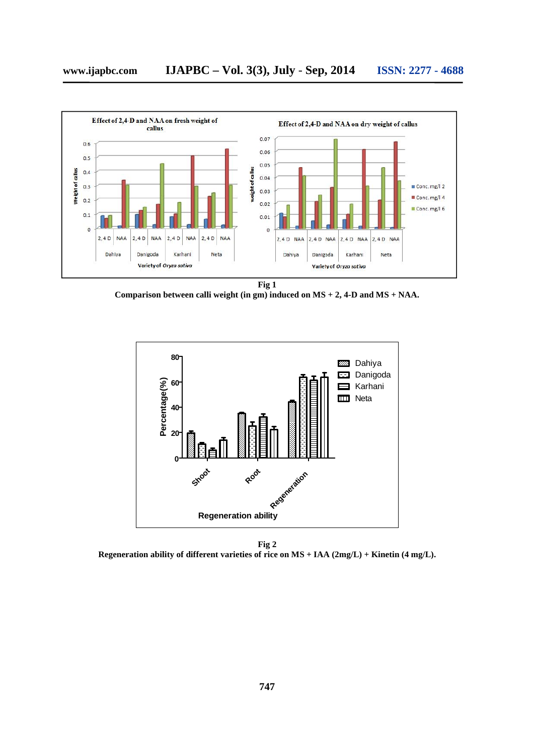

**Comparison between calli weight (in gm) induced on MS + 2, 4-D and MS + NAA.**



**Fig 2 Regeneration ability of different varieties of rice on MS + IAA (2mg/L) + Kinetin (4 mg/L).**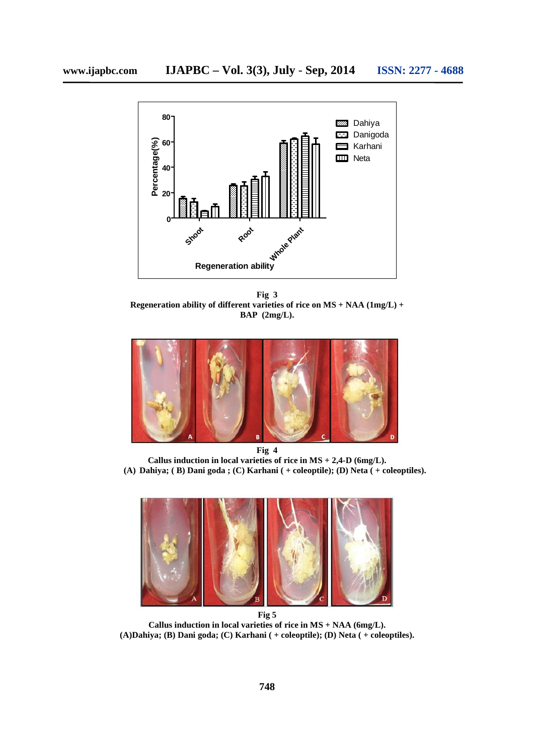

**Fig 3 Regeneration ability of different varieties of rice on MS + NAA (1mg/L) + BAP (2mg/L).**



**Fig 4 Callus induction in local varieties of rice in MS + 2,4-D (6mg/L). (A) Dahiya; ( B) Dani goda ; (C) Karhani ( + coleoptile); (D) Neta ( + coleoptiles).**



**Callus induction in local varieties of rice in MS + NAA (6mg/L). (A)Dahiya; (B) Dani goda; (C) Karhani ( + coleoptile); (D) Neta ( + coleoptiles).**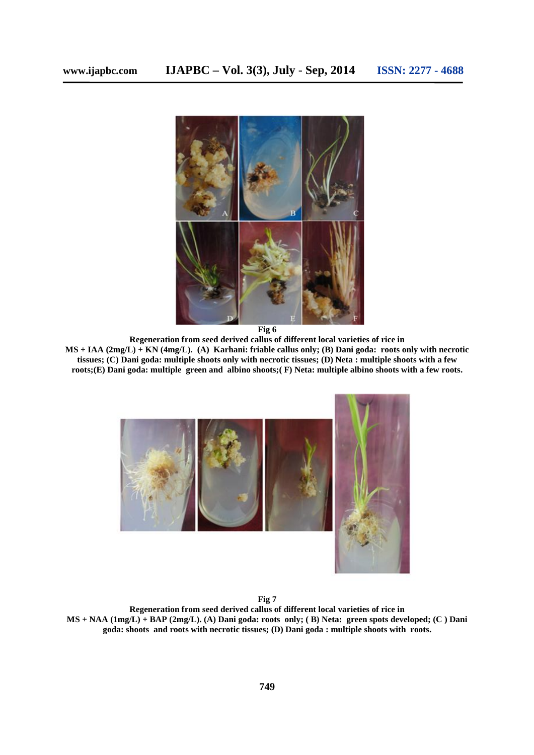

**Fig 6**

**Regeneration from seed derived callus of different local varieties of rice in MS + IAA (2mg/L) + KN (4mg/L). (A) Karhani: friable callus only; (B) Dani goda: roots only with necrotic tissues; (C) Dani goda: multiple shoots only with necrotic tissues; (D) Neta : multiple shoots with a few roots;(E) Dani goda: multiple green and albino shoots;( F) Neta: multiple albino shoots with a few roots.**



**Fig 7**

**Regeneration from seed derived callus of different local varieties of rice in MS + NAA (1mg/L) + BAP (2mg/L). (A) Dani goda: roots only; ( B) Neta: green spots developed; (C ) Dani goda: shoots and roots with necrotic tissues; (D) Dani goda : multiple shoots with roots.**